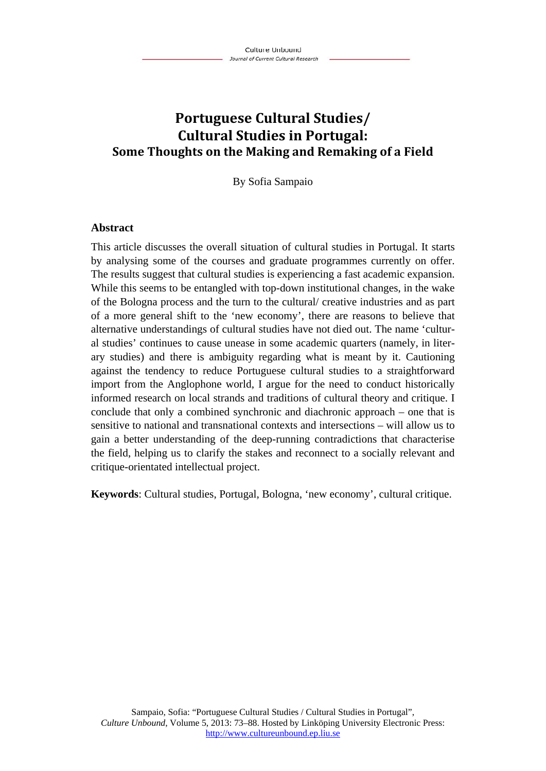# **Portuguese Cultural Studies/ Cultural Studies in Portugal: Some Thoughts on the Making and Remaking of a Field**

By Sofia Sampaio

#### **Abstract**

This article discusses the overall situation of cultural studies in Portugal. It starts by analysing some of the courses and graduate programmes currently on offer. The results suggest that cultural studies is experiencing a fast academic expansion. While this seems to be entangled with top-down institutional changes, in the wake of the Bologna process and the turn to the cultural/ creative industries and as part of a more general shift to the 'new economy', there are reasons to believe that alternative understandings of cultural studies have not died out. The name 'cultural studies' continues to cause unease in some academic quarters (namely, in literary studies) and there is ambiguity regarding what is meant by it. Cautioning against the tendency to reduce Portuguese cultural studies to a straightforward import from the Anglophone world, I argue for the need to conduct historically informed research on local strands and traditions of cultural theory and critique. I conclude that only a combined synchronic and diachronic approach – one that is sensitive to national and transnational contexts and intersections – will allow us to gain a better understanding of the deep-running contradictions that characterise the field, helping us to clarify the stakes and reconnect to a socially relevant and critique-orientated intellectual project.

**Keywords**: Cultural studies, Portugal, Bologna, 'new economy', cultural critique.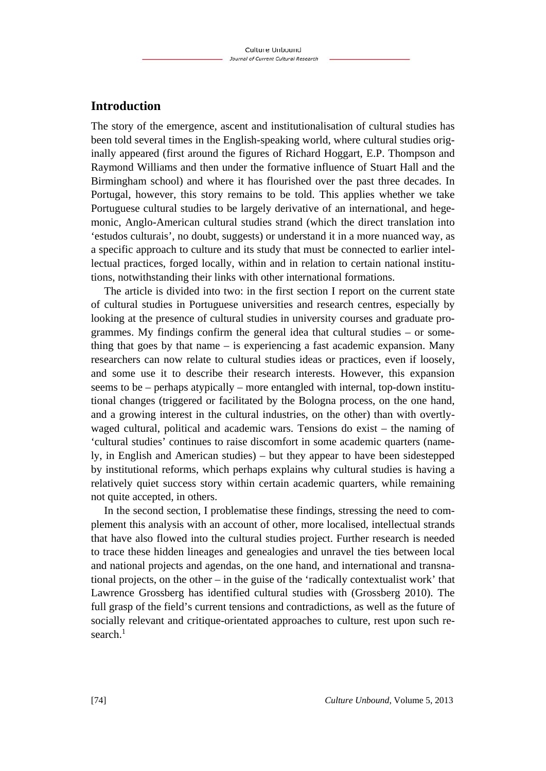## **Introduction**

The story of the emergence, ascent and institutionalisation of cultural studies has been told several times in the English-speaking world, where cultural studies originally appeared (first around the figures of Richard Hoggart, E.P. Thompson and Raymond Williams and then under the formative influence of Stuart Hall and the Birmingham school) and where it has flourished over the past three decades. In Portugal, however, this story remains to be told. This applies whether we take Portuguese cultural studies to be largely derivative of an international, and hegemonic, Anglo-American cultural studies strand (which the direct translation into 'estudos culturais', no doubt, suggests) or understand it in a more nuanced way, as a specific approach to culture and its study that must be connected to earlier intellectual practices, forged locally, within and in relation to certain national institutions, notwithstanding their links with other international formations.

The article is divided into two: in the first section I report on the current state of cultural studies in Portuguese universities and research centres, especially by looking at the presence of cultural studies in university courses and graduate programmes. My findings confirm the general idea that cultural studies – or something that goes by that name  $-$  is experiencing a fast academic expansion. Many researchers can now relate to cultural studies ideas or practices, even if loosely, and some use it to describe their research interests. However, this expansion seems to be – perhaps atypically – more entangled with internal, top-down institutional changes (triggered or facilitated by the Bologna process, on the one hand, and a growing interest in the cultural industries, on the other) than with overtlywaged cultural, political and academic wars. Tensions do exist – the naming of 'cultural studies' continues to raise discomfort in some academic quarters (namely, in English and American studies) – but they appear to have been sidestepped by institutional reforms, which perhaps explains why cultural studies is having a relatively quiet success story within certain academic quarters, while remaining not quite accepted, in others.

In the second section, I problematise these findings, stressing the need to complement this analysis with an account of other, more localised, intellectual strands that have also flowed into the cultural studies project. Further research is needed to trace these hidden lineages and genealogies and unravel the ties between local and national projects and agendas, on the one hand, and international and transnational projects, on the other – in the guise of the 'radically contextualist work' that Lawrence Grossberg has identified cultural studies with (Grossberg 2010). The full grasp of the field's current tensions and contradictions, as well as the future of socially relevant and critique-orientated approaches to culture, rest upon such research. $<sup>1</sup>$ </sup>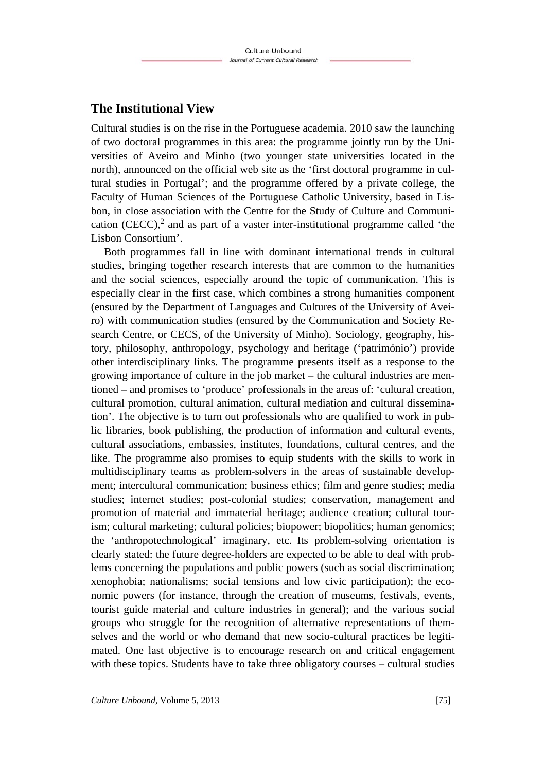# **The Institutional View**

Cultural studies is on the rise in the Portuguese academia. 2010 saw the launching of two doctoral programmes in this area: the programme jointly run by the Universities of Aveiro and Minho (two younger state universities located in the north), announced on the official web site as the 'first doctoral programme in cultural studies in Portugal'; and the programme offered by a private college, the Faculty of Human Sciences of the Portuguese Catholic University, based in Lisbon, in close association with the Centre for the Study of Culture and Communication  $(CECC)$ , and as part of a vaster inter-institutional programme called 'the Lisbon Consortium'.

Both programmes fall in line with dominant international trends in cultural studies, bringing together research interests that are common to the humanities and the social sciences, especially around the topic of communication. This is especially clear in the first case, which combines a strong humanities component (ensured by the Department of Languages and Cultures of the University of Aveiro) with communication studies (ensured by the Communication and Society Research Centre, or CECS, of the University of Minho). Sociology, geography, history, philosophy, anthropology, psychology and heritage ('património') provide other interdisciplinary links. The programme presents itself as a response to the growing importance of culture in the job market – the cultural industries are mentioned – and promises to 'produce' professionals in the areas of: 'cultural creation, cultural promotion, cultural animation, cultural mediation and cultural dissemination'. The objective is to turn out professionals who are qualified to work in public libraries, book publishing, the production of information and cultural events, cultural associations, embassies, institutes, foundations, cultural centres, and the like. The programme also promises to equip students with the skills to work in multidisciplinary teams as problem-solvers in the areas of sustainable development; intercultural communication; business ethics; film and genre studies; media studies; internet studies; post-colonial studies; conservation, management and promotion of material and immaterial heritage; audience creation; cultural tourism; cultural marketing; cultural policies; biopower; biopolitics; human genomics; the 'anthropotechnological' imaginary, etc. Its problem-solving orientation is clearly stated: the future degree-holders are expected to be able to deal with problems concerning the populations and public powers (such as social discrimination; xenophobia; nationalisms; social tensions and low civic participation); the economic powers (for instance, through the creation of museums, festivals, events, tourist guide material and culture industries in general); and the various social groups who struggle for the recognition of alternative representations of themselves and the world or who demand that new socio-cultural practices be legitimated. One last objective is to encourage research on and critical engagement with these topics. Students have to take three obligatory courses – cultural studies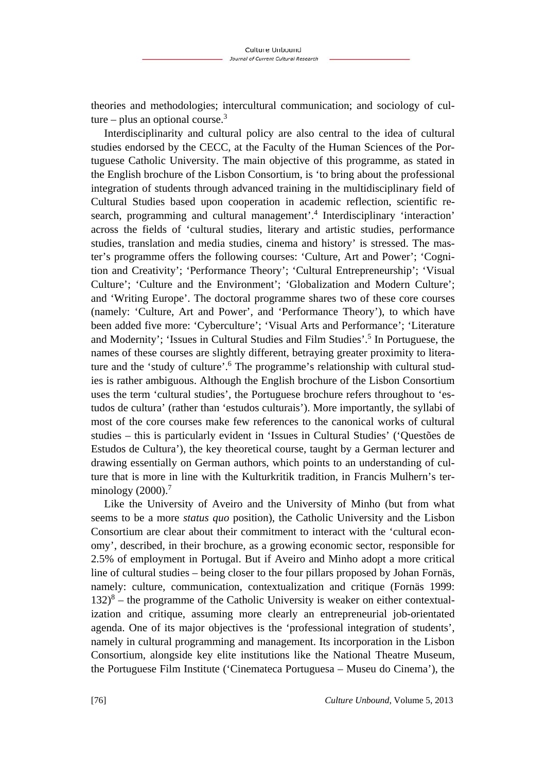theories and methodologies; intercultural communication; and sociology of culture – plus an optional course.<sup>3</sup>

Interdisciplinarity and cultural policy are also central to the idea of cultural studies endorsed by the CECC, at the Faculty of the Human Sciences of the Portuguese Catholic University. The main objective of this programme, as stated in the English brochure of the Lisbon Consortium, is 'to bring about the professional integration of students through advanced training in the multidisciplinary field of Cultural Studies based upon cooperation in academic reflection, scientific research, programming and cultural management'.<sup>4</sup> Interdisciplinary 'interaction' across the fields of 'cultural studies, literary and artistic studies, performance studies, translation and media studies, cinema and history' is stressed. The master's programme offers the following courses: 'Culture, Art and Power'; 'Cognition and Creativity'; 'Performance Theory'; 'Cultural Entrepreneurship'; 'Visual Culture'; 'Culture and the Environment'; 'Globalization and Modern Culture'; and 'Writing Europe'. The doctoral programme shares two of these core courses (namely: 'Culture, Art and Power', and 'Performance Theory'), to which have been added five more: 'Cyberculture'; 'Visual Arts and Performance'; 'Literature and Modernity'; 'Issues in Cultural Studies and Film Studies'.<sup>5</sup> In Portuguese, the names of these courses are slightly different, betraying greater proximity to literature and the 'study of culture'.<sup>6</sup> The programme's relationship with cultural studies is rather ambiguous. Although the English brochure of the Lisbon Consortium uses the term 'cultural studies', the Portuguese brochure refers throughout to 'estudos de cultura' (rather than 'estudos culturais'). More importantly, the syllabi of most of the core courses make few references to the canonical works of cultural studies – this is particularly evident in 'Issues in Cultural Studies' ('Questões de Estudos de Cultura'), the key theoretical course, taught by a German lecturer and drawing essentially on German authors, which points to an understanding of culture that is more in line with the Kulturkritik tradition, in Francis Mulhern's terminology  $(2000).<sup>7</sup>$ 

Like the University of Aveiro and the University of Minho (but from what seems to be a more *status quo* position), the Catholic University and the Lisbon Consortium are clear about their commitment to interact with the 'cultural economy', described, in their brochure, as a growing economic sector, responsible for 2.5% of employment in Portugal. But if Aveiro and Minho adopt a more critical line of cultural studies – being closer to the four pillars proposed by Johan Fornäs, namely: culture, communication, contextualization and critique (Fornäs 1999:  $132)^8$  – the programme of the Catholic University is weaker on either contextualization and critique, assuming more clearly an entrepreneurial job-orientated agenda. One of its major objectives is the 'professional integration of students', namely in cultural programming and management. Its incorporation in the Lisbon Consortium, alongside key elite institutions like the National Theatre Museum, the Portuguese Film Institute ('Cinemateca Portuguesa – Museu do Cinema'), the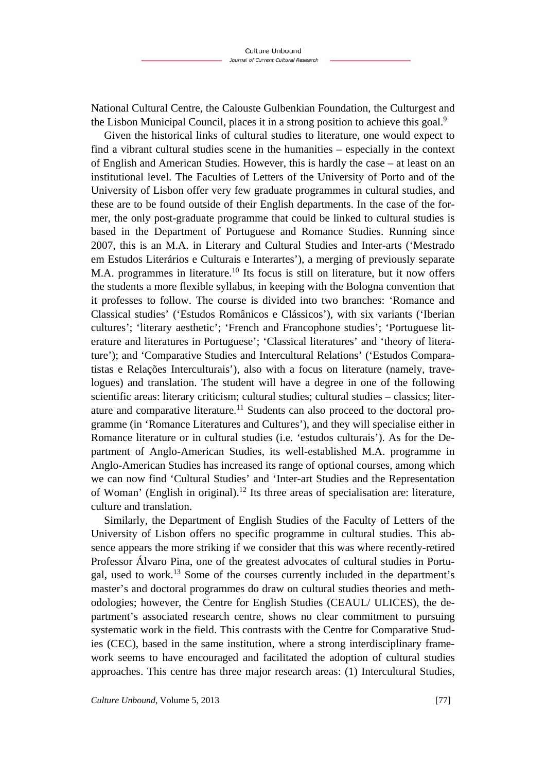National Cultural Centre, the Calouste Gulbenkian Foundation, the Culturgest and the Lisbon Municipal Council, places it in a strong position to achieve this goal.<sup>9</sup>

Given the historical links of cultural studies to literature, one would expect to find a vibrant cultural studies scene in the humanities – especially in the context of English and American Studies. However, this is hardly the case – at least on an institutional level. The Faculties of Letters of the University of Porto and of the University of Lisbon offer very few graduate programmes in cultural studies, and these are to be found outside of their English departments. In the case of the former, the only post-graduate programme that could be linked to cultural studies is based in the Department of Portuguese and Romance Studies. Running since 2007, this is an M.A. in Literary and Cultural Studies and Inter-arts ('Mestrado em Estudos Literários e Culturais e Interartes'), a merging of previously separate M.A. programmes in literature.<sup>10</sup> Its focus is still on literature, but it now offers the students a more flexible syllabus, in keeping with the Bologna convention that it professes to follow. The course is divided into two branches: 'Romance and Classical studies' ('Estudos Românicos e Clássicos'), with six variants ('Iberian cultures'; 'literary aesthetic'; 'French and Francophone studies'; 'Portuguese literature and literatures in Portuguese'; 'Classical literatures' and 'theory of literature'); and 'Comparative Studies and Intercultural Relations' ('Estudos Comparatistas e Relações Interculturais'), also with a focus on literature (namely, travelogues) and translation. The student will have a degree in one of the following scientific areas: literary criticism; cultural studies; cultural studies – classics; literature and comparative literature.<sup>11</sup> Students can also proceed to the doctoral programme (in 'Romance Literatures and Cultures'), and they will specialise either in Romance literature or in cultural studies (i.e. 'estudos culturais'). As for the Department of Anglo-American Studies, its well-established M.A. programme in Anglo-American Studies has increased its range of optional courses, among which we can now find 'Cultural Studies' and 'Inter-art Studies and the Representation of Woman' (English in original).<sup>12</sup> Its three areas of specialisation are: literature, culture and translation.

Similarly, the Department of English Studies of the Faculty of Letters of the University of Lisbon offers no specific programme in cultural studies. This absence appears the more striking if we consider that this was where recently-retired Professor Álvaro Pina, one of the greatest advocates of cultural studies in Portugal, used to work.13 Some of the courses currently included in the department's master's and doctoral programmes do draw on cultural studies theories and methodologies; however, the Centre for English Studies (CEAUL/ ULICES), the department's associated research centre, shows no clear commitment to pursuing systematic work in the field. This contrasts with the Centre for Comparative Studies (CEC), based in the same institution, where a strong interdisciplinary framework seems to have encouraged and facilitated the adoption of cultural studies approaches. This centre has three major research areas: (1) Intercultural Studies,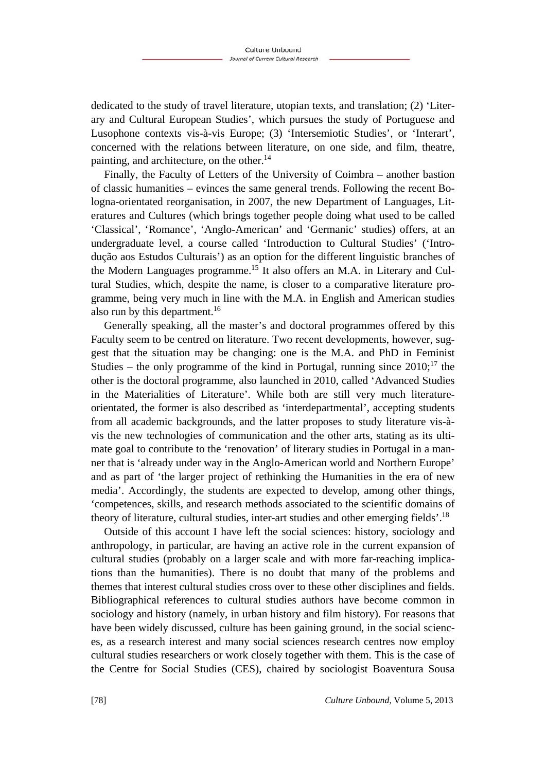dedicated to the study of travel literature, utopian texts, and translation; (2) 'Literary and Cultural European Studies', which pursues the study of Portuguese and Lusophone contexts vis-à-vis Europe; (3) 'Intersemiotic Studies', or 'Interart', concerned with the relations between literature, on one side, and film, theatre, painting, and architecture, on the other.<sup>14</sup>

Finally, the Faculty of Letters of the University of Coimbra – another bastion of classic humanities – evinces the same general trends. Following the recent Bologna-orientated reorganisation, in 2007, the new Department of Languages, Literatures and Cultures (which brings together people doing what used to be called 'Classical', 'Romance', 'Anglo-American' and 'Germanic' studies) offers, at an undergraduate level, a course called 'Introduction to Cultural Studies' ('Introdução aos Estudos Culturais') as an option for the different linguistic branches of the Modern Languages programme.15 It also offers an M.A. in Literary and Cultural Studies, which, despite the name, is closer to a comparative literature programme, being very much in line with the M.A. in English and American studies also run by this department.<sup>16</sup>

Generally speaking, all the master's and doctoral programmes offered by this Faculty seem to be centred on literature. Two recent developments, however, suggest that the situation may be changing: one is the M.A. and PhD in Feminist Studies – the only programme of the kind in Portugal, running since  $2010$ ;<sup>17</sup> the other is the doctoral programme, also launched in 2010, called 'Advanced Studies in the Materialities of Literature'. While both are still very much literatureorientated, the former is also described as 'interdepartmental', accepting students from all academic backgrounds, and the latter proposes to study literature vis-àvis the new technologies of communication and the other arts, stating as its ultimate goal to contribute to the 'renovation' of literary studies in Portugal in a manner that is 'already under way in the Anglo-American world and Northern Europe' and as part of 'the larger project of rethinking the Humanities in the era of new media'. Accordingly, the students are expected to develop, among other things, 'competences, skills, and research methods associated to the scientific domains of theory of literature, cultural studies, inter-art studies and other emerging fields'.18

Outside of this account I have left the social sciences: history, sociology and anthropology, in particular, are having an active role in the current expansion of cultural studies (probably on a larger scale and with more far-reaching implications than the humanities). There is no doubt that many of the problems and themes that interest cultural studies cross over to these other disciplines and fields. Bibliographical references to cultural studies authors have become common in sociology and history (namely, in urban history and film history). For reasons that have been widely discussed, culture has been gaining ground, in the social sciences, as a research interest and many social sciences research centres now employ cultural studies researchers or work closely together with them. This is the case of the Centre for Social Studies (CES), chaired by sociologist Boaventura Sousa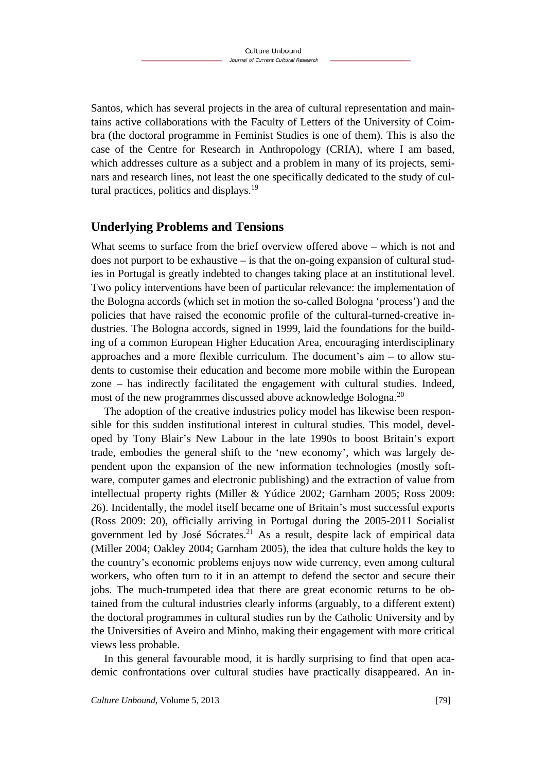Santos, which has several projects in the area of cultural representation and maintains active collaborations with the Faculty of Letters of the University of Coimbra (the doctoral programme in Feminist Studies is one of them). This is also the case of the Centre for Research in Anthropology (CRIA), where I am based, which addresses culture as a subject and a problem in many of its projects, seminars and research lines, not least the one specifically dedicated to the study of cultural practices, politics and displays.19

### **Underlying Problems and Tensions**

What seems to surface from the brief overview offered above – which is not and does not purport to be exhaustive – is that the on-going expansion of cultural studies in Portugal is greatly indebted to changes taking place at an institutional level. Two policy interventions have been of particular relevance: the implementation of the Bologna accords (which set in motion the so-called Bologna 'process') and the policies that have raised the economic profile of the cultural-turned-creative industries. The Bologna accords, signed in 1999, laid the foundations for the building of a common European Higher Education Area, encouraging interdisciplinary approaches and a more flexible curriculum. The document's aim – to allow students to customise their education and become more mobile within the European zone – has indirectly facilitated the engagement with cultural studies. Indeed, most of the new programmes discussed above acknowledge Bologna.<sup>20</sup>

The adoption of the creative industries policy model has likewise been responsible for this sudden institutional interest in cultural studies. This model, developed by Tony Blair's New Labour in the late 1990s to boost Britain's export trade, embodies the general shift to the 'new economy', which was largely dependent upon the expansion of the new information technologies (mostly software, computer games and electronic publishing) and the extraction of value from intellectual property rights (Miller & Yúdice 2002; Garnham 2005; Ross 2009: 26). Incidentally, the model itself became one of Britain's most successful exports (Ross 2009: 20), officially arriving in Portugal during the 2005-2011 Socialist government led by José Sócrates.<sup>21</sup> As a result, despite lack of empirical data (Miller 2004; Oakley 2004; Garnham 2005), the idea that culture holds the key to the country's economic problems enjoys now wide currency, even among cultural workers, who often turn to it in an attempt to defend the sector and secure their jobs. The much-trumpeted idea that there are great economic returns to be obtained from the cultural industries clearly informs (arguably, to a different extent) the doctoral programmes in cultural studies run by the Catholic University and by the Universities of Aveiro and Minho, making their engagement with more critical views less probable.

In this general favourable mood, it is hardly surprising to find that open academic confrontations over cultural studies have practically disappeared. An in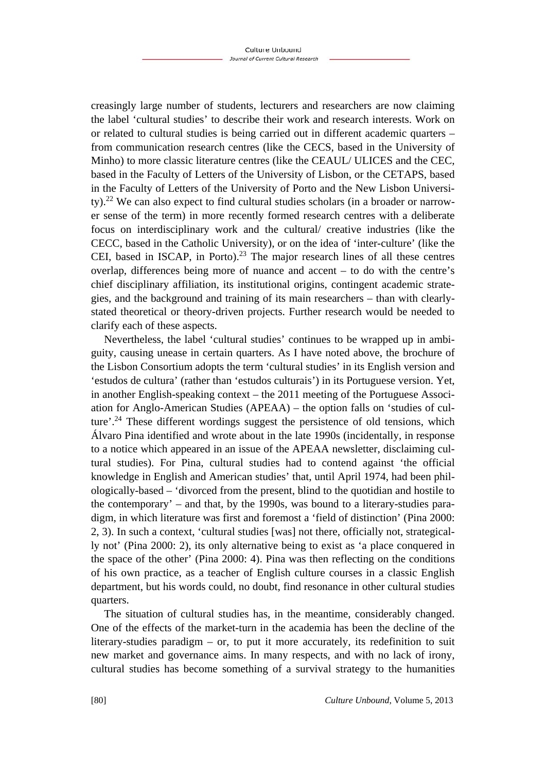creasingly large number of students, lecturers and researchers are now claiming the label 'cultural studies' to describe their work and research interests. Work on or related to cultural studies is being carried out in different academic quarters – from communication research centres (like the CECS, based in the University of Minho) to more classic literature centres (like the CEAUL/ ULICES and the CEC, based in the Faculty of Letters of the University of Lisbon, or the CETAPS, based in the Faculty of Letters of the University of Porto and the New Lisbon University).22 We can also expect to find cultural studies scholars (in a broader or narrower sense of the term) in more recently formed research centres with a deliberate focus on interdisciplinary work and the cultural/ creative industries (like the CECC, based in the Catholic University), or on the idea of 'inter-culture' (like the CEI, based in ISCAP, in Porto).<sup>23</sup> The major research lines of all these centres overlap, differences being more of nuance and accent – to do with the centre's chief disciplinary affiliation, its institutional origins, contingent academic strategies, and the background and training of its main researchers – than with clearlystated theoretical or theory-driven projects. Further research would be needed to clarify each of these aspects.

Nevertheless, the label 'cultural studies' continues to be wrapped up in ambiguity, causing unease in certain quarters. As I have noted above, the brochure of the Lisbon Consortium adopts the term 'cultural studies' in its English version and 'estudos de cultura' (rather than 'estudos culturais') in its Portuguese version. Yet, in another English-speaking context – the 2011 meeting of the Portuguese Association for Anglo-American Studies (APEAA) – the option falls on 'studies of culture'.<sup>24</sup> These different wordings suggest the persistence of old tensions, which Álvaro Pina identified and wrote about in the late 1990s (incidentally, in response to a notice which appeared in an issue of the APEAA newsletter, disclaiming cultural studies). For Pina, cultural studies had to contend against 'the official knowledge in English and American studies' that, until April 1974, had been philologically-based – 'divorced from the present, blind to the quotidian and hostile to the contemporary' – and that, by the 1990s, was bound to a literary-studies paradigm, in which literature was first and foremost a 'field of distinction' (Pina 2000: 2, 3). In such a context, 'cultural studies [was] not there, officially not, strategically not' (Pina 2000: 2), its only alternative being to exist as 'a place conquered in the space of the other' (Pina 2000: 4). Pina was then reflecting on the conditions of his own practice, as a teacher of English culture courses in a classic English department, but his words could, no doubt, find resonance in other cultural studies quarters.

The situation of cultural studies has, in the meantime, considerably changed. One of the effects of the market-turn in the academia has been the decline of the literary-studies paradigm – or, to put it more accurately, its redefinition to suit new market and governance aims. In many respects, and with no lack of irony, cultural studies has become something of a survival strategy to the humanities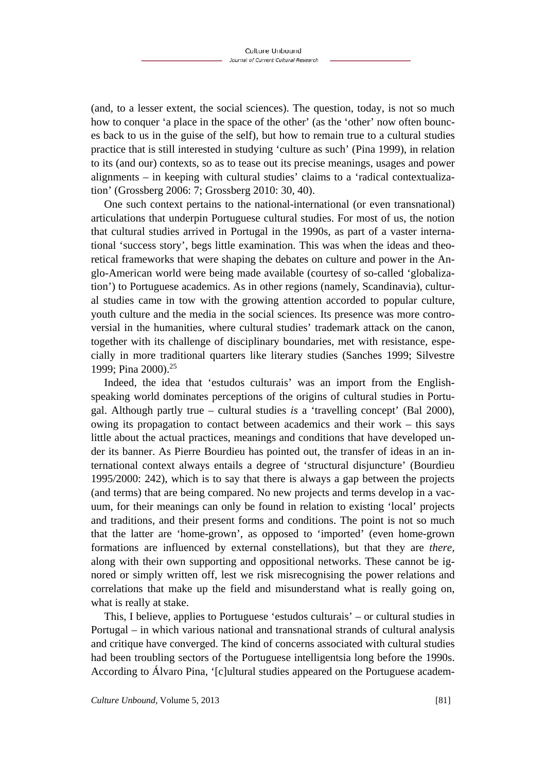(and, to a lesser extent, the social sciences). The question, today, is not so much how to conquer 'a place in the space of the other' (as the 'other' now often bounces back to us in the guise of the self), but how to remain true to a cultural studies practice that is still interested in studying 'culture as such' (Pina 1999), in relation to its (and our) contexts, so as to tease out its precise meanings, usages and power alignments – in keeping with cultural studies' claims to a 'radical contextualization' (Grossberg 2006: 7; Grossberg 2010: 30, 40).

One such context pertains to the national-international (or even transnational) articulations that underpin Portuguese cultural studies. For most of us, the notion that cultural studies arrived in Portugal in the 1990s, as part of a vaster international 'success story', begs little examination. This was when the ideas and theoretical frameworks that were shaping the debates on culture and power in the Anglo-American world were being made available (courtesy of so-called 'globalization') to Portuguese academics. As in other regions (namely, Scandinavia), cultural studies came in tow with the growing attention accorded to popular culture, youth culture and the media in the social sciences. Its presence was more controversial in the humanities, where cultural studies' trademark attack on the canon, together with its challenge of disciplinary boundaries, met with resistance, especially in more traditional quarters like literary studies (Sanches 1999; Silvestre 1999; Pina 2000).25

Indeed, the idea that 'estudos culturais' was an import from the Englishspeaking world dominates perceptions of the origins of cultural studies in Portugal. Although partly true – cultural studies *is* a 'travelling concept' (Bal 2000), owing its propagation to contact between academics and their work – this says little about the actual practices, meanings and conditions that have developed under its banner. As Pierre Bourdieu has pointed out, the transfer of ideas in an international context always entails a degree of 'structural disjuncture' (Bourdieu 1995/2000: 242), which is to say that there is always a gap between the projects (and terms) that are being compared. No new projects and terms develop in a vacuum, for their meanings can only be found in relation to existing 'local' projects and traditions, and their present forms and conditions. The point is not so much that the latter are 'home-grown', as opposed to 'imported' (even home-grown formations are influenced by external constellations), but that they are *there*, along with their own supporting and oppositional networks. These cannot be ignored or simply written off, lest we risk misrecognising the power relations and correlations that make up the field and misunderstand what is really going on, what is really at stake.

This, I believe, applies to Portuguese 'estudos culturais' – or cultural studies in Portugal – in which various national and transnational strands of cultural analysis and critique have converged. The kind of concerns associated with cultural studies had been troubling sectors of the Portuguese intelligentsia long before the 1990s. According to Álvaro Pina, '[c]ultural studies appeared on the Portuguese academ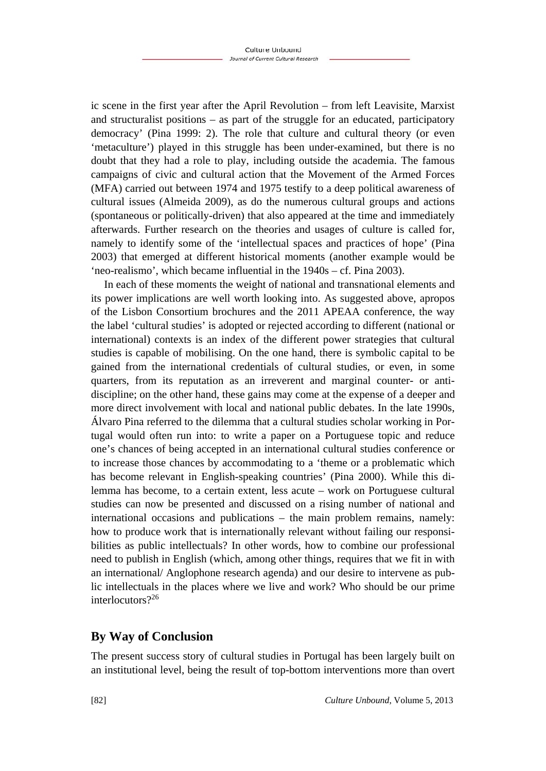ic scene in the first year after the April Revolution – from left Leavisite, Marxist and structuralist positions – as part of the struggle for an educated, participatory democracy' (Pina 1999: 2). The role that culture and cultural theory (or even 'metaculture') played in this struggle has been under-examined, but there is no doubt that they had a role to play, including outside the academia. The famous campaigns of civic and cultural action that the Movement of the Armed Forces (MFA) carried out between 1974 and 1975 testify to a deep political awareness of cultural issues (Almeida 2009), as do the numerous cultural groups and actions (spontaneous or politically-driven) that also appeared at the time and immediately afterwards. Further research on the theories and usages of culture is called for, namely to identify some of the 'intellectual spaces and practices of hope' (Pina 2003) that emerged at different historical moments (another example would be 'neo-realismo', which became influential in the 1940s – cf. Pina 2003).

In each of these moments the weight of national and transnational elements and its power implications are well worth looking into. As suggested above, apropos of the Lisbon Consortium brochures and the 2011 APEAA conference, the way the label 'cultural studies' is adopted or rejected according to different (national or international) contexts is an index of the different power strategies that cultural studies is capable of mobilising. On the one hand, there is symbolic capital to be gained from the international credentials of cultural studies, or even, in some quarters, from its reputation as an irreverent and marginal counter- or antidiscipline; on the other hand, these gains may come at the expense of a deeper and more direct involvement with local and national public debates. In the late 1990s, Álvaro Pina referred to the dilemma that a cultural studies scholar working in Portugal would often run into: to write a paper on a Portuguese topic and reduce one's chances of being accepted in an international cultural studies conference or to increase those chances by accommodating to a 'theme or a problematic which has become relevant in English-speaking countries' (Pina 2000). While this dilemma has become, to a certain extent, less acute – work on Portuguese cultural studies can now be presented and discussed on a rising number of national and international occasions and publications – the main problem remains, namely: how to produce work that is internationally relevant without failing our responsibilities as public intellectuals? In other words, how to combine our professional need to publish in English (which, among other things, requires that we fit in with an international/ Anglophone research agenda) and our desire to intervene as public intellectuals in the places where we live and work? Who should be our prime interlocutors?26

# **By Way of Conclusion**

The present success story of cultural studies in Portugal has been largely built on an institutional level, being the result of top-bottom interventions more than overt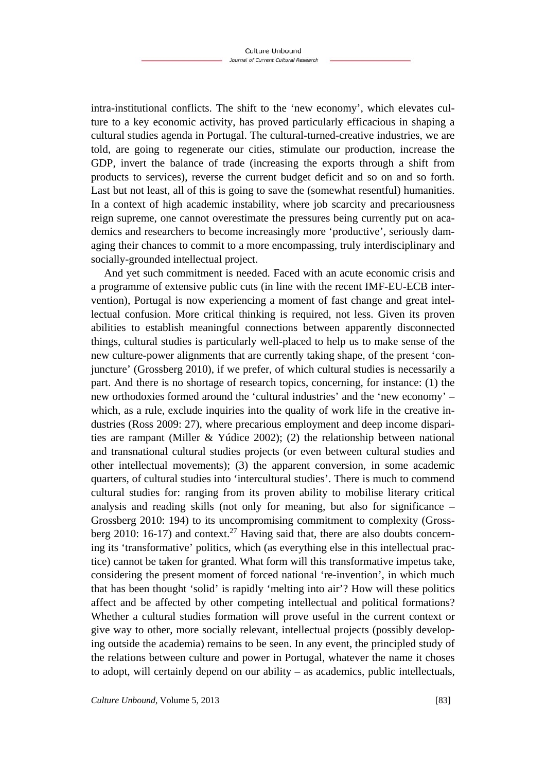intra-institutional conflicts. The shift to the 'new economy', which elevates culture to a key economic activity, has proved particularly efficacious in shaping a cultural studies agenda in Portugal. The cultural-turned-creative industries, we are told, are going to regenerate our cities, stimulate our production, increase the GDP, invert the balance of trade (increasing the exports through a shift from products to services), reverse the current budget deficit and so on and so forth. Last but not least, all of this is going to save the (somewhat resentful) humanities. In a context of high academic instability, where job scarcity and precariousness reign supreme, one cannot overestimate the pressures being currently put on academics and researchers to become increasingly more 'productive', seriously damaging their chances to commit to a more encompassing, truly interdisciplinary and socially-grounded intellectual project.

And yet such commitment is needed. Faced with an acute economic crisis and a programme of extensive public cuts (in line with the recent IMF-EU-ECB intervention), Portugal is now experiencing a moment of fast change and great intellectual confusion. More critical thinking is required, not less. Given its proven abilities to establish meaningful connections between apparently disconnected things, cultural studies is particularly well-placed to help us to make sense of the new culture-power alignments that are currently taking shape, of the present 'conjuncture' (Grossberg 2010), if we prefer, of which cultural studies is necessarily a part. And there is no shortage of research topics, concerning, for instance: (1) the new orthodoxies formed around the 'cultural industries' and the 'new economy' – which, as a rule, exclude inquiries into the quality of work life in the creative industries (Ross 2009: 27), where precarious employment and deep income disparities are rampant (Miller & Yúdice 2002); (2) the relationship between national and transnational cultural studies projects (or even between cultural studies and other intellectual movements); (3) the apparent conversion, in some academic quarters, of cultural studies into 'intercultural studies'. There is much to commend cultural studies for: ranging from its proven ability to mobilise literary critical analysis and reading skills (not only for meaning, but also for significance – Grossberg 2010: 194) to its uncompromising commitment to complexity (Grossberg 2010: 16-17) and context.<sup>27</sup> Having said that, there are also doubts concerning its 'transformative' politics, which (as everything else in this intellectual practice) cannot be taken for granted. What form will this transformative impetus take, considering the present moment of forced national 're-invention', in which much that has been thought 'solid' is rapidly 'melting into air'? How will these politics affect and be affected by other competing intellectual and political formations? Whether a cultural studies formation will prove useful in the current context or give way to other, more socially relevant, intellectual projects (possibly developing outside the academia) remains to be seen. In any event, the principled study of the relations between culture and power in Portugal, whatever the name it choses to adopt, will certainly depend on our ability – as academics, public intellectuals,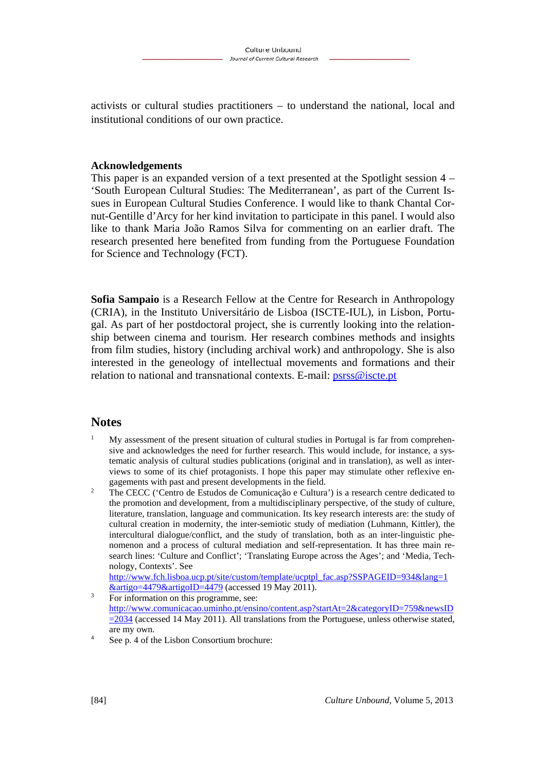activists or cultural studies practitioners – to understand the national, local and institutional conditions of our own practice.

#### **Acknowledgements**

This paper is an expanded version of a text presented at the Spotlight session 4 – 'South European Cultural Studies: The Mediterranean', as part of the Current Issues in European Cultural Studies Conference. I would like to thank Chantal Cornut-Gentille d'Arcy for her kind invitation to participate in this panel. I would also like to thank Maria João Ramos Silva for commenting on an earlier draft. The research presented here benefited from funding from the Portuguese Foundation for Science and Technology (FCT).

**Sofia Sampaio** is a Research Fellow at the Centre for Research in Anthropology (CRIA), in the Instituto Universitário de Lisboa (ISCTE-IUL), in Lisbon, Portugal. As part of her postdoctoral project, she is currently looking into the relationship between cinema and tourism. Her research combines methods and insights from film studies, history (including archival work) and anthropology. She is also interested in the geneology of intellectual movements and formations and their relation to national and transnational contexts. E-mail: psrss@iscte.pt

#### **Notes**

- 1 My assessment of the present situation of cultural studies in Portugal is far from comprehensive and acknowledges the need for further research. This would include, for instance, a systematic analysis of cultural studies publications (original and in translation), as well as interviews to some of its chief protagonists. I hope this paper may stimulate other reflexive engagements with past and present developments in the field.<br><sup>2</sup> The CECC ('Contra de Fetudes de Comunicação e Culture
- The CECC ('Centro de Estudos de Comunicação e Cultura') is a research centre dedicated to the promotion and development, from a multidisciplinary perspective, of the study of culture, literature, translation, language and communication. Its key research interests are: the study of cultural creation in modernity, the inter-semiotic study of mediation (Luhmann, Kittler), the intercultural dialogue/conflict, and the study of translation, both as an inter-linguistic phenomenon and a process of cultural mediation and self-representation. It has three main research lines: 'Culture and Conflict'; 'Translating Europe across the Ages'; and 'Media, Technology, Contexts'. See

http://www.fch.lisboa.ucp.pt/site/custom/template/ucptpl\_fac.asp?SSPAGEID=934&lang=1  $\frac{\text{&artigo=4479\&artigoID=4479}}{\text{For information on this programme.} }$ 

- For information on this programme, see: http://www.comunicacao.uminho.pt/ensino/content.asp?startAt=2&categoryID=759&newsID  $=$  2034 (accessed 14 May 2011). All translations from the Portuguese, unless otherwise stated, are my own.
- See p. 4 of the Lisbon Consortium brochure: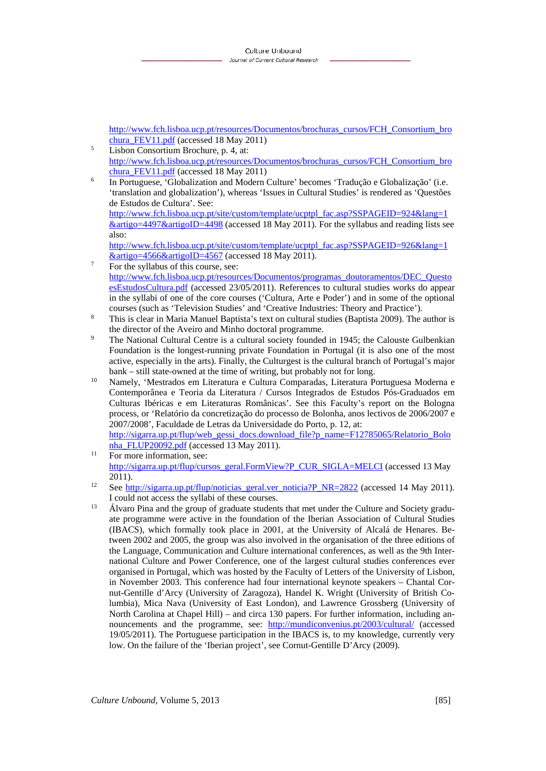http://www.fch.lisboa.ucp.pt/resources/Documentos/brochuras\_cursos/FCH\_Consortium\_bro chura FEV11.pdf (accessed 18 May 2011)

- Lisbon Consortium Brochure, p. 4, at: http://www.fch.lisboa.ucp.pt/resources/Documentos/brochuras\_cursos/FCH\_Consortium\_bro  $\frac{\text{chura FEV11.pdf}}{\text{In Portuence}}$  (accessed 18 May 2011)
- In Portuguese, 'Globalization and Modern Culture' becomes 'Tradução e Globalização' (i.e. 'translation and globalization'), whereas 'Issues in Cultural Studies' is rendered as 'Questões de Estudos de Cultura'. See:

http://www.fch.lisboa.ucp.pt/site/custom/template/ucptpl\_fac.asp?SSPAGEID=924&lang=1 &artigo=4497&artigoID=4498 (accessed 18 May 2011). For the syllabus and reading lists see also:

http://www.fch.lisboa.ucp.pt/site/custom/template/ucptpl\_fac.asp?SSPAGEID=926&lang=1  $\frac{\&\text{artigo}=4566\&\text{artigoID}=4567}{\text{For the}}$  (accessed 18 May 2011).

- For the syllabus of this course, see: http://www.fch.lisboa.ucp.pt/resources/Documentos/programas\_doutoramentos/DEC\_Questo esEstudosCultura.pdf (accessed 23/05/2011). References to cultural studies works do appear in the syllabi of one of the core courses ('Cultura, Arte e Poder') and in some of the optional courses (such as 'Television Studies' and 'Creative Industries: Theory and Practice'). 8
- This is clear in Maria Manuel Baptista's text on cultural studies (Baptista 2009). The author is the director of the Aveiro and Minho doctoral programme.
- The National Cultural Centre is a cultural society founded in 1945; the Calouste Gulbenkian Foundation is the longest-running private Foundation in Portugal (it is also one of the most active, especially in the arts). Finally, the Culturgest is the cultural branch of Portugal's major
- bank still state-owned at the time of writing, but probably not for long. 10 Namely, 'Mestrados em Literatura e Cultura Comparadas, Literatura Portuguesa Moderna e Contemporânea e Teoria da Literatura / Cursos Integrados de Estudos Pós-Graduados em Culturas Ibéricas e em Literaturas Românicas'. See this Faculty's report on the Bologna process, or 'Relatório da concretização do processo de Bolonha, anos lectivos de 2006/2007 e 2007/2008', Faculdade de Letras da Universidade do Porto, p. 12, at: http://sigarra.up.pt/flup/web\_gessi\_docs.download\_file?p\_name=F12785065/Relatorio\_Bolo
- nha\_FLUP20092.pdf (accessed 13 May 2011).<br><sup>11</sup> For more information, see: http://sigarra.up.pt/flup/cursos\_geral.FormView?P\_CUR\_SIGLA=MELCI (accessed 13 May
- 2011).<br>
<sup>12</sup> See http://sigarra.up.pt/flup/noticias\_geral.ver\_noticia?P\_NR=2822 (accessed 14 May 2011).
- I could not access the syllabi of these courses. 13 Álvaro Pina and the group of graduate students that met under the Culture and Society graduate programme were active in the foundation of the Iberian Association of Cultural Studies (IBACS), which formally took place in 2001, at the University of Alcalá de Henares. Between 2002 and 2005, the group was also involved in the organisation of the three editions of the Language, Communication and Culture international conferences, as well as the 9th International Culture and Power Conference, one of the largest cultural studies conferences ever organised in Portugal, which was hosted by the Faculty of Letters of the University of Lisbon, in November 2003. This conference had four international keynote speakers – Chantal Cornut-Gentille d'Arcy (University of Zaragoza), Handel K. Wright (University of British Columbia), Mica Nava (University of East London), and Lawrence Grossberg (University of North Carolina at Chapel Hill) – and circa 130 papers. For further information, including announcements and the programme, see: http://mundiconvenius.pt/2003/cultural/ (accessed 19/05/2011). The Portuguese participation in the IBACS is, to my knowledge, currently very low. On the failure of the 'Iberian project', see Cornut-Gentille D'Arcy (2009).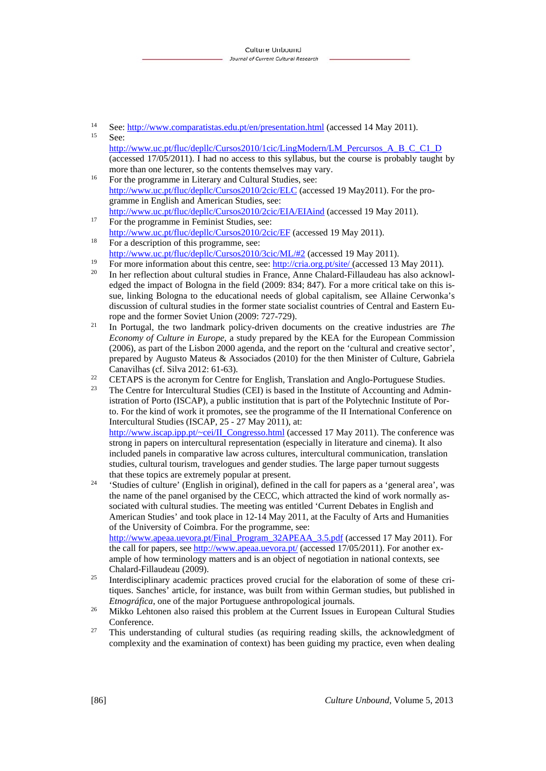<sup>14</sup> See:  $\frac{http://www.comparatistas.edu.pl/en/presentation.html}{\text{See: }}$  (accessed 14 May 2011).

- http://www.uc.pt/fluc/depllc/Cursos2010/1cic/LingModern/LM\_Percursos\_A\_B\_C\_C1\_D (accessed 17/05/2011). I had no access to this syllabus, but the course is probably taught by more than one lecturer, so the contents themselves may vary.<br><sup>16</sup> For the programme in Literary and Cultural Studies, see:
- http://www.uc.pt/fluc/depllc/Cursos2010/2cic/ELC (accessed 19 May2011). For the programme in English and American Studies, see: http://www.uc.pt/fluc/depllc/Cursos2010/2cic/EIA/EIAind (accessed 19 May 2011).<br><sup>17</sup> For the programme in Feminist Studies, see:
- 
- http://www.uc.pt/fluc/depllc/Cursos2010/2cic/EF (accessed 19 May 2011).<br><sup>18</sup> For a description of this programme, see: http://www.uc.pt/fluc/depllc/Cursos2010/3cic/ML/#2 (accessed 19 May 2011).
- 
- <sup>19</sup> For more information about this centre, see:  $\frac{http://cria.org.pt/site/}$  (accessed 13 May 2011).<br><sup>20</sup> In her reflection about cultural studies in France, Anne Chalard-Fillaudeau has also acknowledged the impact of Bologna in the field (2009: 834; 847). For a more critical take on this issue, linking Bologna to the educational needs of global capitalism, see Allaine Cerwonka's discussion of cultural studies in the former state socialist countries of Central and Eastern Eu-
- rope and the former Soviet Union (2009: 727-729). 21 In Portugal, the two landmark policy-driven documents on the creative industries are *The Economy of Culture in Europe*, a study prepared by the KEA for the European Commission (2006), as part of the Lisbon 2000 agenda, and the report on the 'cultural and creative sector', prepared by Augusto Mateus & Associados (2010) for the then Minister of Culture, Gabriela
- Canavilhas (cf. Silva 2012: 61-63).<br>
<sup>22</sup> CETAPS is the acronym for Centre for English, Translation and Anglo-Portuguese Studies.<br>
<sup>23</sup> The Centre for Interessitives Studies (CED is besed in the Institute of Accounting and
- 23 The Centre for Intercultural Studies (CEI) is based in the Institute of Accounting and Administration of Porto (ISCAP), a public institution that is part of the Polytechnic Institute of Porto. For the kind of work it promotes, see the programme of the II International Conference on Intercultural Studies (ISCAP, 25 - 27 May 2011), at:

http://www.iscap.ipp.pt/~cei/II\_Congresso.html (accessed 17 May 2011). The conference was strong in papers on intercultural representation (especially in literature and cinema). It also included panels in comparative law across cultures, intercultural communication, translation studies, cultural tourism, travelogues and gender studies. The large paper turnout suggests

- that these topics are extremely popular at present.<br><sup>24</sup> 'Studies of culture' (English in original), defined in the call for papers as a 'general area', was the name of the panel organised by the CECC, which attracted the kind of work normally associated with cultural studies. The meeting was entitled 'Current Debates in English and American Studies' and took place in 12-14 May 2011, at the Faculty of Arts and Humanities of the University of Coimbra. For the programme, see: http://www.apeaa.uevora.pt/Final\_Program\_32APEAA\_3.5.pdf (accessed 17 May 2011). For the call for papers, see http://www.apeaa.uevora.pt/ (accessed 17/05/2011). For another ex-
- ample of how terminology matters and is an object of negotiation in national contexts, see Chalard-Fillaudeau (2009). 25 Interdisciplinary academic practices proved crucial for the elaboration of some of these cri-
- tiques. Sanches' article, for instance, was built from within German studies, but published in *Etnográfica*, one of the major Portuguese anthropological journals.<br><sup>26</sup> Mikko Lehtonen also raised this problem at the Current Issues in European Cultural Studies
- Conference. 27 This understanding of cultural studies (as requiring reading skills, the acknowledgment of
- complexity and the examination of context) has been guiding my practice, even when dealing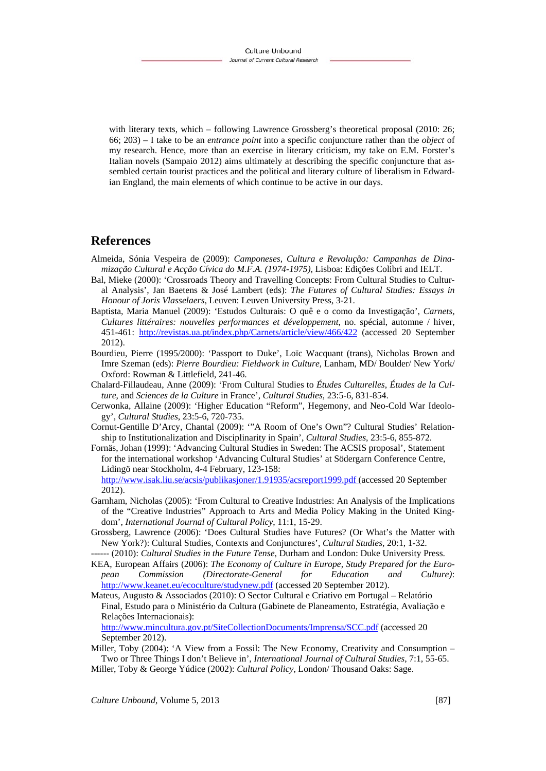with literary texts, which – following Lawrence Grossberg's theoretical proposal (2010: 26; 66; 203) – I take to be an *entrance point* into a specific conjuncture rather than the *object* of my research. Hence, more than an exercise in literary criticism, my take on E.M. Forster's Italian novels (Sampaio 2012) aims ultimately at describing the specific conjuncture that assembled certain tourist practices and the political and literary culture of liberalism in Edwardian England, the main elements of which continue to be active in our days.

#### **References**

- Almeida, Sónia Vespeira de (2009): *Camponeses, Cultura e Revolução: Campanhas de Dinamização Cultural e Acção Cívica do M.F.A. (1974-1975)*, Lisboa: Edições Colibri and IELT.
- Bal, Mieke (2000): 'Crossroads Theory and Travelling Concepts: From Cultural Studies to Cultural Analysis', Jan Baetens & José Lambert (eds): *The Futures of Cultural Studies: Essays in Honour of Joris Vlasselaers*, Leuven: Leuven University Press, 3-21.
- Baptista, Maria Manuel (2009): 'Estudos Culturais: O quê e o como da Investigação', *Carnets, Cultures littéraires: nouvelles performances et développement*, no. spécial, automne / hiver, 451-461: http://revistas.ua.pt/index.php/Carnets/article/view/466/422 (accessed 20 September 2012).
- Bourdieu, Pierre (1995/2000): 'Passport to Duke', Loïc Wacquant (trans), Nicholas Brown and Imre Szeman (eds): *Pierre Bourdieu: Fieldwork in Culture*, Lanham, MD/ Boulder/ New York/ Oxford: Rowman & Littlefield, 241-46.
- Chalard-Fillaudeau, Anne (2009): 'From Cultural Studies to *Études Culturelles*, *Études de la Culture*, and *Sciences de la Culture* in France', *Cultural Studies*, 23:5-6, 831-854.
- Cerwonka, Allaine (2009): 'Higher Education "Reform", Hegemony, and Neo-Cold War Ideology', *Cultural Studies*, 23:5-6, 720-735.
- Cornut-Gentille D'Arcy, Chantal (2009): '"A Room of One's Own"? Cultural Studies' Relationship to Institutionalization and Disciplinarity in Spain', *Cultural Studies*, 23:5-6, 855-872.
- Fornäs, Johan (1999): 'Advancing Cultural Studies in Sweden: The ACSIS proposal', Statement for the international workshop 'Advancing Cultural Studies' at Södergarn Conference Centre, Lidingö near Stockholm, 4-4 February, 123-158: http://www.isak.liu.se/acsis/publikasjoner/1.91935/acsreport1999.pdf (accessed 20 September 2012).
- Garnham, Nicholas (2005): 'From Cultural to Creative Industries: An Analysis of the Implications of the "Creative Industries" Approach to Arts and Media Policy Making in the United Kingdom', *International Journal of Cultural Policy*, 11:1, 15-29.
- Grossberg, Lawrence (2006): 'Does Cultural Studies have Futures? (Or What's the Matter with New York?): Cultural Studies, Contexts and Conjunctures', *Cultural Studies*, 20:1, 1-32.
- ------ (2010): *Cultural Studies in the Future Tense*, Durham and London: Duke University Press.
- KEA, European Affairs (2006): *The Economy of Culture in Europe, Study Prepared for the European Commission (Directorate-General for Education and Culture)*: http://www.keanet.eu/ecoculture/studynew.pdf (accessed 20 September 2012).
- Mateus, Augusto & Associados (2010): O Sector Cultural e Criativo em Portugal Relatório Final, Estudo para o Ministério da Cultura (Gabinete de Planeamento, Estratégia, Avaliação e Relações Internacionais):

http://www.mincultura.gov.pt/SiteCollectionDocuments/Imprensa/SCC.pdf (accessed 20 September 2012).

Miller, Toby (2004): 'A View from a Fossil: The New Economy, Creativity and Consumption – Two or Three Things I don't Believe in', *International Journal of Cultural Studies*, 7:1, 55-65.

Miller, Toby & George Yúdice (2002): *Cultural Policy*, London/ Thousand Oaks: Sage.